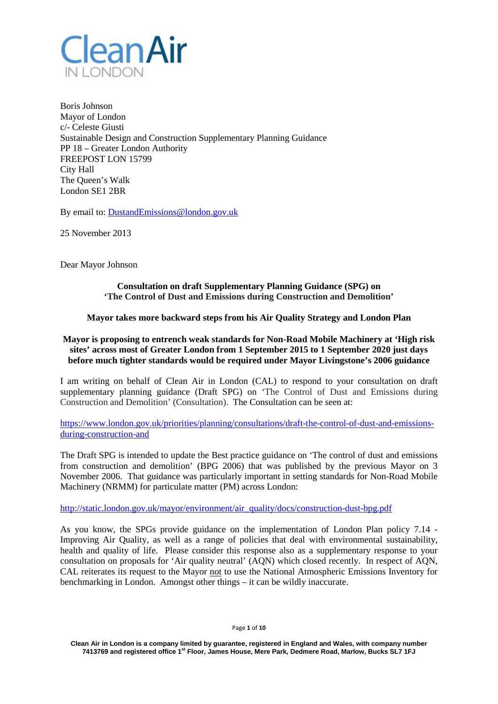

Boris Johnson Mayor of London c/- Celeste Giusti Sustainable Design and Construction Supplementary Planning Guidance PP 18 – Greater London Authority FREEPOST LON 15799 City Hall The Queen's Walk London SE1 2BR

By email to: [DustandEmissions@london.gov.uk](mailto:DustandEmissions@london.gov.uk)

25 November 2013

Dear Mayor Johnson

### **Consultation on draft Supplementary Planning Guidance (SPG) on 'The Control of Dust and Emissions during Construction and Demolition'**

### **Mayor takes more backward steps from his Air Quality Strategy and London Plan**

## **Mayor is proposing to entrench weak standards for Non-Road Mobile Machinery at 'High risk sites' across most of Greater London from 1 September 2015 to 1 September 2020 just days before much tighter standards would be required under Mayor Livingstone's 2006 guidance**

I am writing on behalf of Clean Air in London (CAL) to respond to your consultation on draft supplementary planning guidance (Draft SPG) on 'The Control of Dust and Emissions during Construction and Demolition' (Consultation). The Consultation can be seen at:

[https://www.london.gov.uk/priorities/planning/consultations/draft-the-control-of-dust-and-emissions](https://www.london.gov.uk/priorities/planning/consultations/draft-the-control-of-dust-and-emissions-during-construction-and)[during-construction-and](https://www.london.gov.uk/priorities/planning/consultations/draft-the-control-of-dust-and-emissions-during-construction-and)

The Draft SPG is intended to update the Best practice guidance on 'The control of dust and emissions from construction and demolition' (BPG 2006) that was published by the previous Mayor on 3 November 2006. That guidance was particularly important in setting standards for Non-Road Mobile Machinery (NRMM) for particulate matter (PM) across London:

[http://static.london.gov.uk/mayor/environment/air\\_quality/docs/construction-dust-bpg.pdf](http://static.london.gov.uk/mayor/environment/air_quality/docs/construction-dust-bpg.pdf)

As you know, the SPGs provide guidance on the implementation of London Plan policy 7.14 - Improving Air Quality, as well as a range of policies that deal with environmental sustainability, health and quality of life. Please consider this response also as a supplementary response to your consultation on proposals for 'Air quality neutral' (AQN) which closed recently. In respect of AQN, CAL reiterates its request to the Mayor not to use the National Atmospheric Emissions Inventory for benchmarking in London. Amongst other things – it can be wildly inaccurate.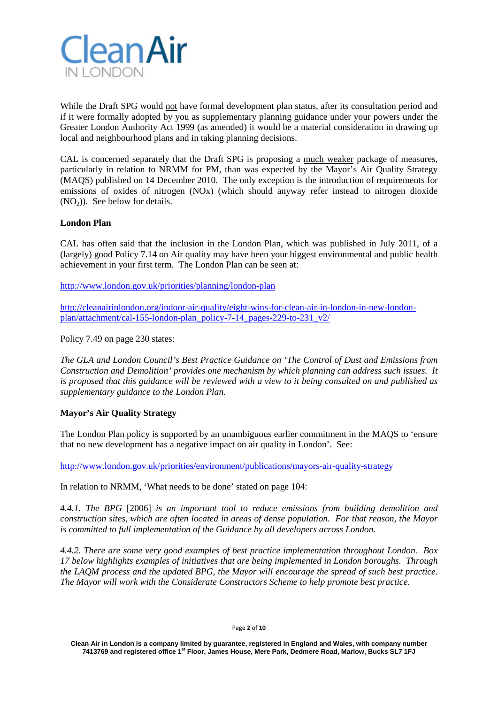

While the Draft SPG would not have formal development plan status, after its consultation period and if it were formally adopted by you as supplementary planning guidance under your powers under the Greater London Authority Act 1999 (as amended) it would be a material consideration in drawing up local and neighbourhood plans and in taking planning decisions.

CAL is concerned separately that the Draft SPG is proposing a much weaker package of measures, particularly in relation to NRMM for PM, than was expected by the Mayor's Air Quality Strategy (MAQS) published on 14 December 2010. The only exception is the introduction of requirements for emissions of oxides of nitrogen (NOx) (which should anyway refer instead to nitrogen dioxide  $(NO<sub>2</sub>))$ . See below for details.

# **London Plan**

CAL has often said that the inclusion in the London Plan, which was published in July 2011, of a (largely) good Policy 7.14 on Air quality may have been your biggest environmental and public health achievement in your first term. The London Plan can be seen at:

<http://www.london.gov.uk/priorities/planning/london-plan>

[http://cleanairinlondon.org/indoor-air-quality/eight-wins-for-clean-air-in-london-in-new-london](http://cleanairinlondon.org/indoor-air-quality/eight-wins-for-clean-air-in-london-in-new-london-plan/attachment/cal-155-london-plan_policy-7-14_pages-229-to-231_v2/)[plan/attachment/cal-155-london-plan\\_policy-7-14\\_pages-229-to-231\\_v2/](http://cleanairinlondon.org/indoor-air-quality/eight-wins-for-clean-air-in-london-in-new-london-plan/attachment/cal-155-london-plan_policy-7-14_pages-229-to-231_v2/)

Policy 7.49 on page 230 states:

*The GLA and London Council's Best Practice Guidance on 'The Control of Dust and Emissions from Construction and Demolition' provides one mechanism by which planning can address such issues. It is proposed that this guidance will be reviewed with a view to it being consulted on and published as supplementary guidance to the London Plan.*

## **Mayor's Air Quality Strategy**

The London Plan policy is supported by an unambiguous earlier commitment in the MAQS to 'ensure that no new development has a negative impact on air quality in London'. See:

<http://www.london.gov.uk/priorities/environment/publications/mayors-air-quality-strategy>

In relation to NRMM, 'What needs to be done' stated on page 104:

*4.4.1. The BPG* [2006] *is an important tool to reduce emissions from building demolition and construction sites, which are often located in areas of dense population. For that reason, the Mayor is committed to full implementation of the Guidance by all developers across London.*

*4.4.2. There are some very good examples of best practice implementation throughout London. Box 17 below highlights examples of initiatives that are being implemented in London boroughs. Through the LAQM process and the updated BPG, the Mayor will encourage the spread of such best practice. The Mayor will work with the Considerate Constructors Scheme to help promote best practice.*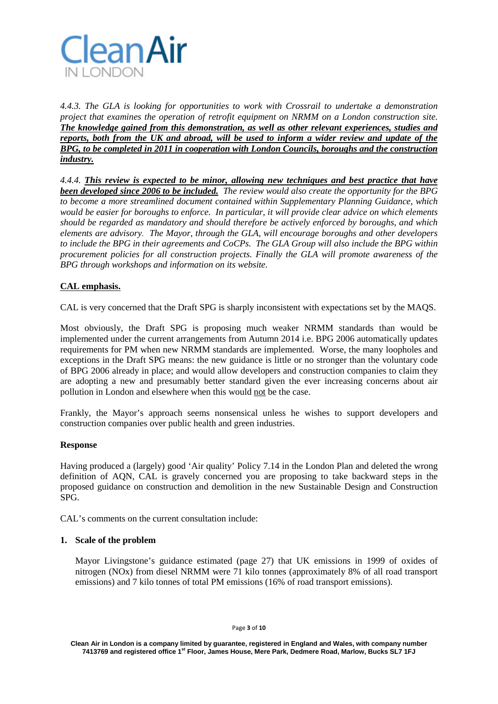

*4.4.3. The GLA is looking for opportunities to work with Crossrail to undertake a demonstration project that examines the operation of retrofit equipment on NRMM on a London construction site. The knowledge gained from this demonstration, as well as other relevant experiences, studies and reports, both from the UK and abroad, will be used to inform a wider review and update of the BPG, to be completed in 2011 in cooperation with London Councils, boroughs and the construction industry.*

*4.4.4. This review is expected to be minor, allowing new techniques and best practice that have been developed since 2006 to be included. The review would also create the opportunity for the BPG to become a more streamlined document contained within Supplementary Planning Guidance, which would be easier for boroughs to enforce. In particular, it will provide clear advice on which elements should be regarded as mandatory and should therefore be actively enforced by boroughs, and which elements are advisory. The Mayor, through the GLA, will encourage boroughs and other developers to include the BPG in their agreements and CoCPs. The GLA Group will also include the BPG within procurement policies for all construction projects. Finally the GLA will promote awareness of the BPG through workshops and information on its website.*

# **CAL emphasis.**

CAL is very concerned that the Draft SPG is sharply inconsistent with expectations set by the MAQS.

Most obviously, the Draft SPG is proposing much weaker NRMM standards than would be implemented under the current arrangements from Autumn 2014 i.e. BPG 2006 automatically updates requirements for PM when new NRMM standards are implemented. Worse, the many loopholes and exceptions in the Draft SPG means: the new guidance is little or no stronger than the voluntary code of BPG 2006 already in place; and would allow developers and construction companies to claim they are adopting a new and presumably better standard given the ever increasing concerns about air pollution in London and elsewhere when this would not be the case.

Frankly, the Mayor's approach seems nonsensical unless he wishes to support developers and construction companies over public health and green industries.

## **Response**

Having produced a (largely) good 'Air quality' Policy 7.14 in the London Plan and deleted the wrong definition of AQN, CAL is gravely concerned you are proposing to take backward steps in the proposed guidance on construction and demolition in the new Sustainable Design and Construction SPG.

CAL's comments on the current consultation include:

## **1. Scale of the problem**

Mayor Livingstone's guidance estimated (page 27) that UK emissions in 1999 of oxides of nitrogen (NOx) from diesel NRMM were 71 kilo tonnes (approximately 8% of all road transport emissions) and 7 kilo tonnes of total PM emissions (16% of road transport emissions).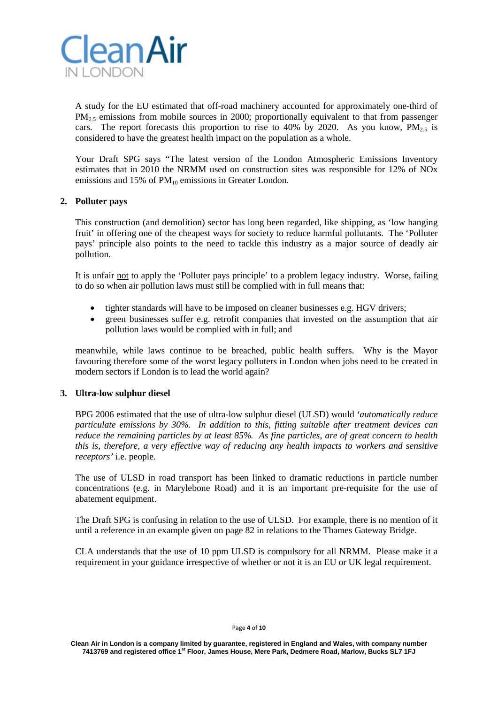

A study for the EU estimated that off-road machinery accounted for approximately one-third of  $PM<sub>25</sub>$  emissions from mobile sources in 2000; proportionally equivalent to that from passenger cars. The report forecasts this proportion to rise to 40% by 2020. As you know,  $PM_2$  is considered to have the greatest health impact on the population as a whole.

Your Draft SPG says "The latest version of the London Atmospheric Emissions Inventory estimates that in 2010 the NRMM used on construction sites was responsible for 12% of NOx emissions and 15% of  $PM_{10}$  emissions in Greater London.

### **2. Polluter pays**

This construction (and demolition) sector has long been regarded, like shipping, as 'low hanging fruit' in offering one of the cheapest ways for society to reduce harmful pollutants. The 'Polluter pays' principle also points to the need to tackle this industry as a major source of deadly air pollution.

It is unfair not to apply the 'Polluter pays principle' to a problem legacy industry. Worse, failing to do so when air pollution laws must still be complied with in full means that:

- tighter standards will have to be imposed on cleaner businesses e.g. HGV drivers;
- green businesses suffer e.g. retrofit companies that invested on the assumption that air pollution laws would be complied with in full; and

meanwhile, while laws continue to be breached, public health suffers. Why is the Mayor favouring therefore some of the worst legacy polluters in London when jobs need to be created in modern sectors if London is to lead the world again?

## **3. Ultra-low sulphur diesel**

BPG 2006 estimated that the use of ultra-low sulphur diesel (ULSD) would *'automatically reduce particulate emissions by 30%. In addition to this, fitting suitable after treatment devices can reduce the remaining particles by at least 85%. As fine particles, are of great concern to health this is, therefore, a very effective way of reducing any health impacts to workers and sensitive receptors'* i.e. people.

The use of ULSD in road transport has been linked to dramatic reductions in particle number concentrations (e.g. in Marylebone Road) and it is an important pre-requisite for the use of abatement equipment.

The Draft SPG is confusing in relation to the use of ULSD. For example, there is no mention of it until a reference in an example given on page 82 in relations to the Thames Gateway Bridge.

CLA understands that the use of 10 ppm ULSD is compulsory for all NRMM. Please make it a requirement in your guidance irrespective of whether or not it is an EU or UK legal requirement.

#### Page **4** of **10**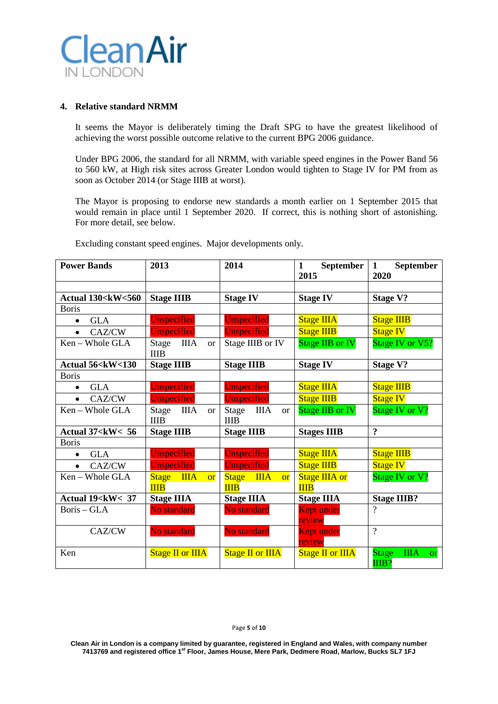

# **4. Relative standard NRMM**

It seems the Mayor is deliberately timing the Draft SPG to have the greatest likelihood of achieving the worst possible outcome relative to the current BPG 2006 guidance.

Under BPG 2006, the standard for all NRMM, with variable speed engines in the Power Band 56 to 560 kW, at High risk sites across Greater London would tighten to Stage IV for PM from as soon as October 2014 (or Stage IIIB at worst).

The Mayor is proposing to endorse new standards a month earlier on 1 September 2015 that would remain in place until 1 September 2020. If correct, this is nothing short of astonishing. For more detail, see below.

| <b>Power Bands</b>                                                                                                                              | 2013                                                 | 2014                                             | <b>September</b><br>1<br>2015 | <b>September</b><br>1<br>2020                     |
|-------------------------------------------------------------------------------------------------------------------------------------------------|------------------------------------------------------|--------------------------------------------------|-------------------------------|---------------------------------------------------|
|                                                                                                                                                 |                                                      |                                                  |                               |                                                   |
| <b>Actual 130<kw<560< b=""></kw<560<></b>                                                                                                       | <b>Stage IIIB</b>                                    | <b>Stage IV</b>                                  | <b>Stage IV</b>               | <b>Stage V?</b>                                   |
| <b>Boris</b>                                                                                                                                    |                                                      |                                                  |                               |                                                   |
| <b>GLA</b><br>$\bullet$                                                                                                                         | Unspecified                                          | <b>Unspecified</b>                               | <b>Stage IIIA</b>             | <b>Stage IIIB</b>                                 |
| CAZ/CW<br>$\bullet$                                                                                                                             | Unspecified                                          | Unspecified                                      | <b>Stage IIIB</b>             | <b>Stage IV</b>                                   |
| Ken - Whole GLA                                                                                                                                 | <b>IIIA</b><br>Stage<br><sub>or</sub><br><b>IIIB</b> | Stage IIIB or IV                                 | Stage IIB or IV               | Stage IV or V5?                                   |
| Actual 56 <kw<130< td=""><td><b>Stage IIIB</b></td><td><b>Stage IIIB</b></td><td><b>Stage IV</b></td><td><b>Stage V?</b></td></kw<130<>         | <b>Stage IIIB</b>                                    | <b>Stage IIIB</b>                                | <b>Stage IV</b>               | <b>Stage V?</b>                                   |
| <b>Boris</b>                                                                                                                                    |                                                      |                                                  |                               |                                                   |
| <b>GLA</b><br>$\bullet$                                                                                                                         | Unspecified                                          | <b>Unspecified</b>                               | <b>Stage IIIA</b>             | <b>Stage IIIB</b>                                 |
| CAZ/CW<br>$\bullet$                                                                                                                             | Unspecified                                          | <b>Unspecified</b>                               | <b>Stage IIIB</b>             | <b>Stage IV</b>                                   |
| Ken – Whole GLA                                                                                                                                 | ШA<br>Stage<br><sub>or</sub><br><b>IIIB</b>          | <b>IIIA</b><br>Stage<br><b>or</b><br><b>IIIB</b> | <b>Stage IIB or IV</b>        | Stage IV or V?                                    |
| Actual 37 <kw< 56<="" td=""><td><b>Stage IIIB</b></td><td><b>Stage IIIB</b></td><td><b>Stages IIIB</b></td><td><math>\ddot{?}</math></td></kw<> | <b>Stage IIIB</b>                                    | <b>Stage IIIB</b>                                | <b>Stages IIIB</b>            | $\ddot{?}$                                        |
| <b>Boris</b>                                                                                                                                    |                                                      |                                                  |                               |                                                   |
| <b>GLA</b><br>$\bullet$                                                                                                                         | Unspecified                                          | <b>Unspecified</b>                               | <b>Stage IIIA</b>             | <b>Stage IIIB</b>                                 |
| CAZ/CW<br>$\bullet$                                                                                                                             | Unspecified                                          | Unspecified                                      | <b>Stage IIIB</b>             | <b>Stage IV</b>                                   |
| Ken - Whole GLA                                                                                                                                 | <b>Stage</b><br><b>IIIA</b><br><b>or</b>             | <b>IIIA</b><br>Stage<br><b>or</b>                | <b>Stage IIIA or</b>          | Stage IV or V?                                    |
|                                                                                                                                                 | <b>IIIB</b>                                          | <b>IIIB</b>                                      | <b>IIIB</b>                   |                                                   |
| Actual 19 <kw< 37<="" td=""><td><b>Stage IIIA</b></td><td><b>Stage IIIA</b></td><td><b>Stage IIIA</b></td><td><b>Stage IIIB?</b></td></kw<>     | <b>Stage IIIA</b>                                    | <b>Stage IIIA</b>                                | <b>Stage IIIA</b>             | <b>Stage IIIB?</b>                                |
| Boris - GLA                                                                                                                                     | No standard                                          | No standard                                      | Kept under<br>review          | $\gamma$                                          |
| CAZ/CW                                                                                                                                          | No standard                                          | No standard                                      | Kept under<br>review          | $\gamma$                                          |
| Ken                                                                                                                                             | <b>Stage II or IIIA</b>                              | <b>Stage II or IIIA</b>                          | <b>Stage II or IIIA</b>       | <b>Stage</b><br><b>IIIA</b><br><b>or</b><br>IIIB? |

Excluding constant speed engines. Major developments only.

#### Page **5** of **10**

**Clean Air in London is a company limited by guarantee, registered in England and Wales, with company number 7413769 and registered office 1st Floor, James House, Mere Park, Dedmere Road, Marlow, Bucks SL7 1FJ**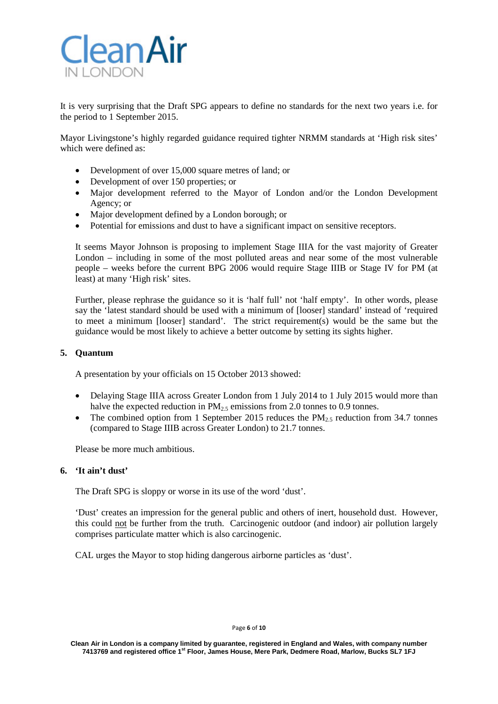

It is very surprising that the Draft SPG appears to define no standards for the next two years i.e. for the period to 1 September 2015.

Mayor Livingstone's highly regarded guidance required tighter NRMM standards at 'High risk sites' which were defined as:

- Development of over 15,000 square metres of land; or
- Development of over 150 properties; or
- Major development referred to the Mayor of London and/or the London Development Agency; or
- Major development defined by a London borough; or
- Potential for emissions and dust to have a significant impact on sensitive receptors.

It seems Mayor Johnson is proposing to implement Stage IIIA for the vast majority of Greater London – including in some of the most polluted areas and near some of the most vulnerable people – weeks before the current BPG 2006 would require Stage IIIB or Stage IV for PM (at least) at many 'High risk' sites.

Further, please rephrase the guidance so it is 'half full' not 'half empty'. In other words, please say the 'latest standard should be used with a minimum of [looser] standard' instead of 'required to meet a minimum [looser] standard'. The strict requirement(s) would be the same but the guidance would be most likely to achieve a better outcome by setting its sights higher.

## **5. Quantum**

A presentation by your officials on 15 October 2013 showed:

- Delaying Stage IIIA across Greater London from 1 July 2014 to 1 July 2015 would more than halve the expected reduction in  $PM_{2.5}$  emissions from 2.0 tonnes to 0.9 tonnes.
- The combined option from 1 September 2015 reduces the  $PM_{2.5}$  reduction from 34.7 tonnes (compared to Stage IIIB across Greater London) to 21.7 tonnes.

Please be more much ambitious.

# **6. 'It ain't dust'**

The Draft SPG is sloppy or worse in its use of the word 'dust'.

'Dust' creates an impression for the general public and others of inert, household dust. However, this could not be further from the truth. Carcinogenic outdoor (and indoor) air pollution largely comprises particulate matter which is also carcinogenic.

CAL urges the Mayor to stop hiding dangerous airborne particles as 'dust'.

#### Page **6** of **10**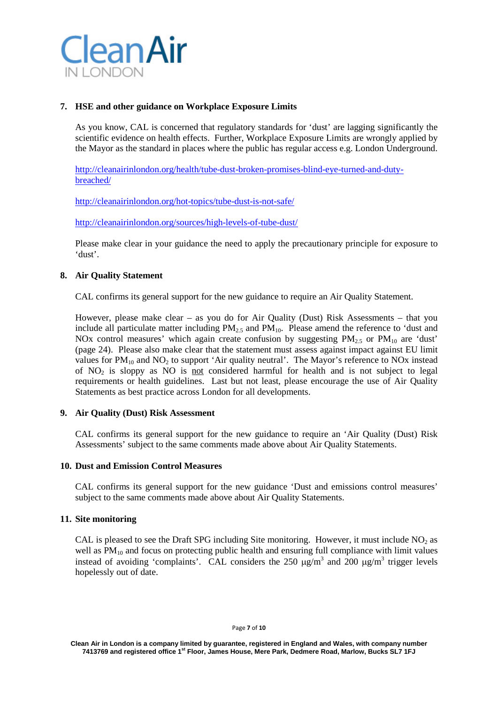

## **7. HSE and other guidance on Workplace Exposure Limits**

As you know, CAL is concerned that regulatory standards for 'dust' are lagging significantly the scientific evidence on health effects. Further, Workplace Exposure Limits are wrongly applied by the Mayor as the standard in places where the public has regular access e.g. London Underground.

[http://cleanairinlondon.org/health/tube-dust-broken-promises-blind-eye-turned-and-duty](http://cleanairinlondon.org/health/tube-dust-broken-promises-blind-eye-turned-and-duty-breached/)[breached/](http://cleanairinlondon.org/health/tube-dust-broken-promises-blind-eye-turned-and-duty-breached/)

<http://cleanairinlondon.org/hot-topics/tube-dust-is-not-safe/>

<http://cleanairinlondon.org/sources/high-levels-of-tube-dust/>

Please make clear in your guidance the need to apply the precautionary principle for exposure to 'dust'.

### **8. Air Quality Statement**

CAL confirms its general support for the new guidance to require an Air Quality Statement.

However, please make clear – as you do for Air Quality (Dust) Risk Assessments – that you include all particulate matter including  $PM_{2.5}$  and  $PM_{10}$ . Please amend the reference to 'dust and NOx control measures' which again create confusion by suggesting  $PM_{2.5}$  or  $PM_{10}$  are 'dust' (page 24). Please also make clear that the statement must assess against impact against EU limit values for  $PM_{10}$  and  $NO_2$  to support 'Air quality neutral'. The Mayor's reference to NOx instead of  $NO<sub>2</sub>$  is sloppy as NO is not considered harmful for health and is not subject to legal requirements or health guidelines. Last but not least, please encourage the use of Air Quality Statements as best practice across London for all developments.

#### **9. Air Quality (Dust) Risk Assessment**

CAL confirms its general support for the new guidance to require an 'Air Quality (Dust) Risk Assessments' subject to the same comments made above about Air Quality Statements.

### **10. Dust and Emission Control Measures**

CAL confirms its general support for the new guidance 'Dust and emissions control measures' subject to the same comments made above about Air Quality Statements.

## **11. Site monitoring**

CAL is pleased to see the Draft SPG including Site monitoring. However, it must include  $NO<sub>2</sub>$  as well as  $PM_{10}$  and focus on protecting public health and ensuring full compliance with limit values instead of avoiding 'complaints'. CAL considers the 250  $\mu$ g/m<sup>3</sup> and 200  $\mu$ g/m<sup>3</sup> trigger levels hopelessly out of date.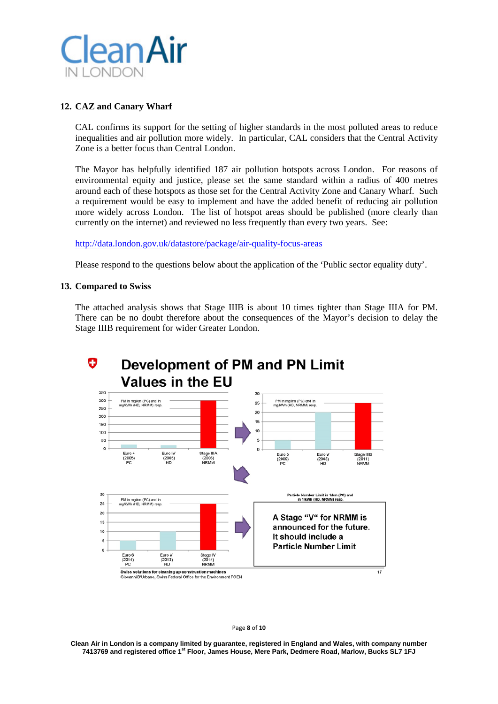

## **12. CAZ and Canary Wharf**

CAL confirms its support for the setting of higher standards in the most polluted areas to reduce inequalities and air pollution more widely. In particular, CAL considers that the Central Activity Zone is a better focus than Central London.

The Mayor has helpfully identified 187 air pollution hotspots across London. For reasons of environmental equity and justice, please set the same standard within a radius of 400 metres around each of these hotspots as those set for the Central Activity Zone and Canary Wharf. Such a requirement would be easy to implement and have the added benefit of reducing air pollution more widely across London. The list of hotspot areas should be published (more clearly than currently on the internet) and reviewed no less frequently than every two years. See:

### <http://data.london.gov.uk/datastore/package/air-quality-focus-areas>

Please respond to the questions below about the application of the 'Public sector equality duty'.

### **13. Compared to Swiss**

The attached analysis shows that Stage IIIB is about 10 times tighter than Stage IIIA for PM. There can be no doubt therefore about the consequences of the Mayor's decision to delay the Stage IIIB requirement for wider Greater London.



Page **8** of **10**

**Clean Air in London is a company limited by guarantee, registered in England and Wales, with company number 7413769 and registered office 1st Floor, James House, Mere Park, Dedmere Road, Marlow, Bucks SL7 1FJ**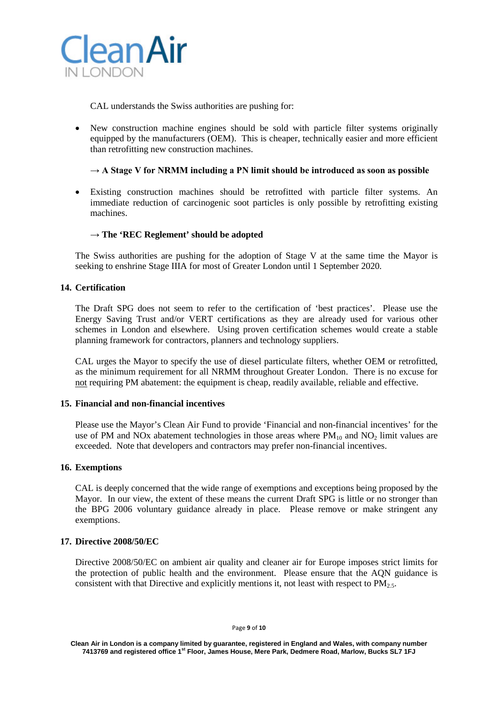

CAL understands the Swiss authorities are pushing for:

• New construction machine engines should be sold with particle filter systems originally equipped by the manufacturers (OEM). This is cheaper, technically easier and more efficient than retrofitting new construction machines.

## $\rightarrow$  A Stage V for NRMM including a PN limit should be introduced as soon as possible

• Existing construction machines should be retrofitted with particle filter systems. An immediate reduction of carcinogenic soot particles is only possible by retrofitting existing machines.

## → **The 'REC Reglement' should be adopted**

The Swiss authorities are pushing for the adoption of Stage V at the same time the Mayor is seeking to enshrine Stage IIIA for most of Greater London until 1 September 2020.

# **14. Certification**

The Draft SPG does not seem to refer to the certification of 'best practices'. Please use the Energy Saving Trust and/or VERT certifications as they are already used for various other schemes in London and elsewhere. Using proven certification schemes would create a stable planning framework for contractors, planners and technology suppliers.

CAL urges the Mayor to specify the use of diesel particulate filters, whether OEM or retrofitted, as the minimum requirement for all NRMM throughout Greater London. There is no excuse for not requiring PM abatement: the equipment is cheap, readily available, reliable and effective.

## **15. Financial and non-financial incentives**

Please use the Mayor's Clean Air Fund to provide 'Financial and non-financial incentives' for the use of PM and NOx abatement technologies in those areas where  $PM_{10}$  and NO<sub>2</sub> limit values are exceeded. Note that developers and contractors may prefer non-financial incentives.

## **16. Exemptions**

CAL is deeply concerned that the wide range of exemptions and exceptions being proposed by the Mayor. In our view, the extent of these means the current Draft SPG is little or no stronger than the BPG 2006 voluntary guidance already in place. Please remove or make stringent any exemptions.

## **17. Directive 2008/50/EC**

Directive 2008/50/EC on ambient air quality and cleaner air for Europe imposes strict limits for the protection of public health and the environment. Please ensure that the AQN guidance is consistent with that Directive and explicitly mentions it, not least with respect to  $PM_{2.5}$ .

**Clean Air in London is a company limited by guarantee, registered in England and Wales, with company number 7413769 and registered office 1st Floor, James House, Mere Park, Dedmere Road, Marlow, Bucks SL7 1FJ**